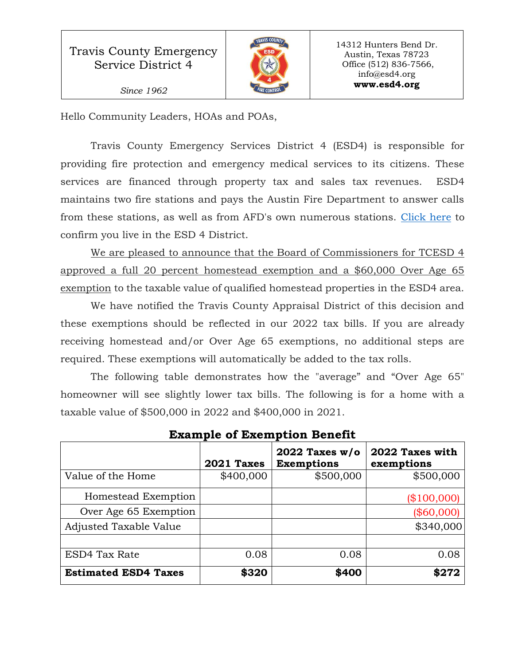

14312 Hunters Bend Dr. Austin, Texas 78723 Office (512) 836-7566, info@esd4.org **www.esd4.org**

Hello Community Leaders, HOAs and POAs,

Travis County Emergency Services District 4 (ESD4) is responsible for providing fire protection and emergency medical services to its citizens. These services are financed through property tax and sales tax revenues. ESD4 maintains two fire stations and pays the Austin Fire Department to answer calls from these stations, as well as from AFD's own numerous stations. [Click here](http://www.esd4.org/topics/administration/map-district) to confirm you live in the ESD 4 District.

We are pleased to announce that the Board of Commissioners for TCESD 4 approved a full 20 percent homestead exemption and a \$60,000 Over Age 65 exemption to the taxable value of qualified homestead properties in the ESD4 area.

We have notified the Travis County Appraisal District of this decision and these exemptions should be reflected in our 2022 tax bills. If you are already receiving homestead and/or Over Age 65 exemptions, no additional steps are required. These exemptions will automatically be added to the tax rolls.

The following table demonstrates how the "average" and "Over Age 65" homeowner will see slightly lower tax bills. The following is for a home with a taxable value of \$500,000 in 2022 and \$400,000 in 2021.

|                             | 2021 Taxes | 2022 Taxes $w/o$<br><b>Exemptions</b> | 2022 Taxes with<br>exemptions |
|-----------------------------|------------|---------------------------------------|-------------------------------|
| Value of the Home           | \$400,000  | \$500,000                             | \$500,000                     |
| Homestead Exemption         |            |                                       | \$100,000                     |
| Over Age 65 Exemption       |            |                                       | (\$60,000)                    |
| Adjusted Taxable Value      |            |                                       | \$340,000                     |
|                             |            |                                       |                               |
| ESD4 Tax Rate               | 0.08       | 0.08                                  | 0.08                          |
| <b>Estimated ESD4 Taxes</b> | \$320      | \$400                                 | \$272                         |

**Example of Exemption Benefit**